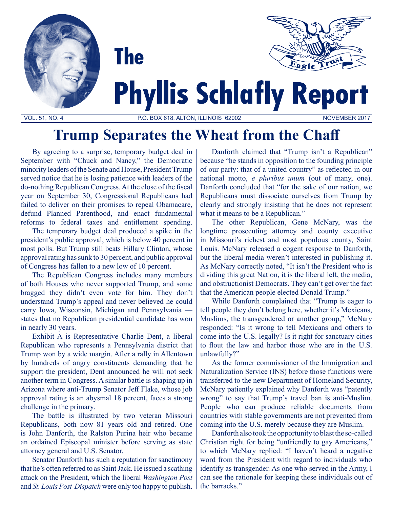

**Trump Separates the Wheat from the Chaff**

By agreeing to a surprise, temporary budget deal in September with "Chuck and Nancy," the Democratic minority leaders of the Senate and House, President Trump served notice that he is losing patience with leaders of the do-nothing Republican Congress. At the close of the fiscal year on September 30, Congressional Republicans had failed to deliver on their promises to repeal Obamacare, defund Planned Parenthood, and enact fundamental reforms to federal taxes and entitlement spending.

The temporary budget deal produced a spike in the president's public approval, which is below 40 percent in most polls. But Trump still beats Hillary Clinton, whose approval rating has sunk to 30 percent, and public approval of Congress has fallen to a new low of 10 percent.

The Republican Congress includes many members of both Houses who never supported Trump, and some bragged they didn't even vote for him. They don't understand Trump's appeal and never believed he could carry Iowa, Wisconsin, Michigan and Pennsylvania states that no Republican presidential candidate has won in nearly 30 years.

Exhibit A is Representative Charlie Dent, a liberal Republican who represents a Pennsylvania district that Trump won by a wide margin. After a rally in Allentown by hundreds of angry constituents demanding that he support the president, Dent announced he will not seek another term in Congress. A similar battle is shaping up in Arizona where anti-Trump Senator Jeff Flake, whose job approval rating is an abysmal 18 percent, faces a strong challenge in the primary.

The battle is illustrated by two veteran Missouri Republicans, both now 81 years old and retired. One is John Danforth, the Ralston Purina heir who became an ordained Episcopal minister before serving as state attorney general and U.S. Senator.

Senator Danforth has such a reputation for sanctimony that he's often referred to as Saint Jack. He issued a scathing attack on the President, which the liberal *Washington Post* and *St. Louis Post-Dispatch* were only too happy to publish.

Danforth claimed that "Trump isn't a Republican" because "he stands in opposition to the founding principle of our party: that of a united country" as reflected in our national motto, *e pluribus unum* (out of many, one). Danforth concluded that "for the sake of our nation, we Republicans must dissociate ourselves from Trump by clearly and strongly insisting that he does not represent what it means to be a Republican."

The other Republican, Gene McNary, was the longtime prosecuting attorney and county executive in Missouri's richest and most populous county, Saint Louis. McNary released a cogent response to Danforth, but the liberal media weren't interested in publishing it. As McNary correctly noted, "It isn't the President who is dividing this great Nation, it is the liberal left, the media, and obstructionist Democrats. They can't get over the fact that the American people elected Donald Trump."

While Danforth complained that "Trump is eager to tell people they don't belong here, whether it's Mexicans, Muslims, the transgendered or another group," McNary responded: "Is it wrong to tell Mexicans and others to come into the U.S. legally? Is it right for sanctuary cities to flout the law and harbor those who are in the U.S. unlawfully?"

As the former commissioner of the Immigration and Naturalization Service (INS) before those functions were transferred to the new Department of Homeland Security, McNary patiently explained why Danforth was "patently wrong" to say that Trump's travel ban is anti-Muslim. People who can produce reliable documents from countries with stable governments are not prevented from coming into the U.S. merely because they are Muslim.

Danforth also took the opportunity to blast the so-called Christian right for being "unfriendly to gay Americans," to which McNary replied: "I haven't heard a negative word from the President with regard to individuals who identify as transgender. As one who served in the Army, I can see the rationale for keeping these individuals out of the barracks."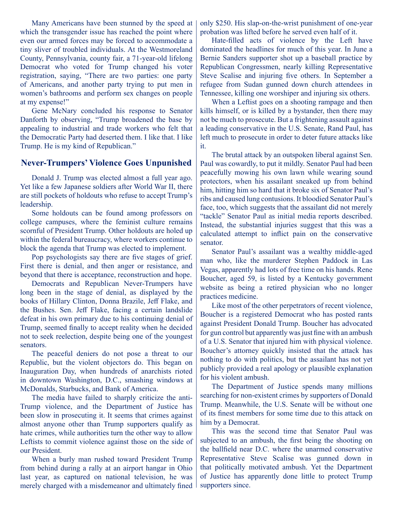Many Americans have been stunned by the speed at which the transgender issue has reached the point where even our armed forces may be forced to accommodate a tiny sliver of troubled individuals. At the Westmoreland County, Pennsylvania, county fair, a 71-year-old lifelong Democrat who voted for Trump changed his voter registration, saying, "There are two parties: one party of Americans, and another party trying to put men in women's bathrooms and perform sex changes on people at my expense!"

Gene McNary concluded his response to Senator Danforth by observing, "Trump broadened the base by appealing to industrial and trade workers who felt that the Democratic Party had deserted them. I like that. I like Trump. He is my kind of Republican."

## **Never-Trumpers' Violence Goes Unpunished**

Donald J. Trump was elected almost a full year ago. Yet like a few Japanese soldiers after World War II, there are still pockets of holdouts who refuse to accept Trump's leadership.

Some holdouts can be found among professors on college campuses, where the feminist culture remains scornful of President Trump. Other holdouts are holed up within the federal bureaucracy, where workers continue to block the agenda that Trump was elected to implement.

Pop psychologists say there are five stages of grief. First there is denial, and then anger or resistance, and beyond that there is acceptance, reconstruction and hope.

Democrats and Republican Never-Trumpers have long been in the stage of denial, as displayed by the books of Hillary Clinton, Donna Brazile, Jeff Flake, and the Bushes. Sen. Jeff Flake, facing a certain landslide defeat in his own primary due to his continuing denial of Trump, seemed finally to accept reality when he decided not to seek reelection, despite being one of the youngest senators.

The peaceful deniers do not pose a threat to our Republic, but the violent objectors do. This began on Inauguration Day, when hundreds of anarchists rioted in downtown Washington, D.C., smashing windows at McDonalds, Starbucks, and Bank of America.

The media have failed to sharply criticize the anti-Trump violence, and the Department of Justice has been slow in prosecuting it. It seems that crimes against almost anyone other than Trump supporters qualify as hate crimes, while authorities turn the other way to allow Leftists to commit violence against those on the side of our President.

When a burly man rushed toward President Trump from behind during a rally at an airport hangar in Ohio last year, as captured on national television, he was merely charged with a misdemeanor and ultimately fined

only \$250. His slap-on-the-wrist punishment of one-year probation was lifted before he served even half of it.

Hate-filled acts of violence by the Left have dominated the headlines for much of this year. In June a Bernie Sanders supporter shot up a baseball practice by Republican Congressmen, nearly killing Representative Steve Scalise and injuring five others. In September a refugee from Sudan gunned down church attendees in Tennessee, killing one worshiper and injuring six others.

When a Leftist goes on a shooting rampage and then kills himself, or is killed by a bystander, then there may not be much to prosecute. But a frightening assault against a leading conservative in the U.S. Senate, Rand Paul, has left much to prosecute in order to deter future attacks like it.

The brutal attack by an outspoken liberal against Sen. Paul was cowardly, to put it mildly. Senator Paul had been peacefully mowing his own lawn while wearing sound protectors, when his assailant sneaked up from behind him, hitting him so hard that it broke six of Senator Paul's ribs and caused lung contusions. It bloodied Senator Paul's face, too, which suggests that the assailant did not merely "tackle" Senator Paul as initial media reports described. Instead, the substantial injuries suggest that this was a calculated attempt to inflict pain on the conservative senator.

Senator Paul's assailant was a wealthy middle-aged man who, like the murderer Stephen Paddock in Las Vegas, apparently had lots of free time on his hands. Rene Boucher, aged 59, is listed by a Kentucky government website as being a retired physician who no longer practices medicine.

Like most of the other perpetrators of recent violence, Boucher is a registered Democrat who has posted rants against President Donald Trump. Boucher has advocated for gun control but apparently was just fine with an ambush of a U.S. Senator that injured him with physical violence. Boucher's attorney quickly insisted that the attack has nothing to do with politics, but the assailant has not yet publicly provided a real apology or plausible explanation for his violent ambush.

The Department of Justice spends many millions searching for non-existent crimes by supporters of Donald Trump. Meanwhile, the U.S. Senate will be without one of its finest members for some time due to this attack on him by a Democrat.

This was the second time that Senator Paul was subjected to an ambush, the first being the shooting on the ballfield near D.C. where the unarmed conservative Representative Steve Scalise was gunned down in that politically motivated ambush. Yet the Department of Justice has apparently done little to protect Trump supporters since.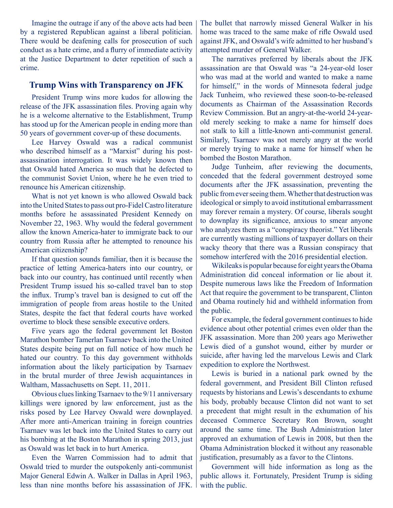Imagine the outrage if any of the above acts had been by a registered Republican against a liberal politician. There would be deafening calls for prosecution of such conduct as a hate crime, and a flurry of immediate activity at the Justice Department to deter repetition of such a crime.

## **Trump Wins with Transparency on JFK**

President Trump wins more kudos for allowing the release of the JFK assassination files. Proving again why he is a welcome alternative to the Establishment, Trump has stood up for the American people in ending more than 50 years of government cover-up of these documents.

Lee Harvey Oswald was a radical communist who described himself as a "Marxist" during his postassassination interrogation. It was widely known then that Oswald hated America so much that he defected to the communist Soviet Union, where he he even tried to renounce his American citizenship.

What is not yet known is who allowed Oswald back into the United States to pass out pro-Fidel Castro literature months before he assassinated President Kennedy on November 22, 1963. Why would the federal government allow the known America-hater to immigrate back to our country from Russia after he attempted to renounce his American citizenship?

If that question sounds familiar, then it is because the practice of letting America-haters into our country, or back into our country, has continued until recently when President Trump issued his so-called travel ban to stop the influx. Trump's travel ban is designed to cut off the immigration of people from areas hostile to the United States, despite the fact that federal courts have worked overtime to block these sensible executive orders.

Five years ago the federal government let Boston Marathon bomber Tamerlan Tsarnaev back into the United States despite being put on full notice of how much he hated our country. To this day government withholds information about the likely participation by Tsarnaev in the brutal murder of three Jewish acquaintances in Waltham, Massachusetts on Sept. 11, 2011.

Obvious clues linking Tsarnaev to the 9/11 anniversary killings were ignored by law enforcement, just as the risks posed by Lee Harvey Oswald were downplayed. After more anti-American training in foreign countries Tsarnaev was let back into the United States to carry out his bombing at the Boston Marathon in spring 2013, just as Oswald was let back in to hurt America.

Even the Warren Commission had to admit that Oswald tried to murder the outspokenly anti-communist Major General Edwin A. Walker in Dallas in April 1963, less than nine months before his assassination of JFK.

The bullet that narrowly missed General Walker in his home was traced to the same make of rifle Oswald used against JFK, and Oswald's wife admitted to her husband's attempted murder of General Walker.

The narratives preferred by liberals about the JFK assassination are that Oswald was "a 24-year-old loser who was mad at the world and wanted to make a name for himself," in the words of Minnesota federal judge Jack Tunheim, who reviewed these soon-to-be-released documents as Chairman of the Assassination Records Review Commission. But an angry-at-the-world 24-yearold merely seeking to make a name for himself does not stalk to kill a little-known anti-communist general. Similarly, Tsarnaev was not merely angry at the world or merely trying to make a name for himself when he bombed the Boston Marathon.

Judge Tunheim, after reviewing the documents, conceded that the federal government destroyed some documents after the JFK assassination, preventing the public from ever seeing them. Whether that destruction was ideological or simply to avoid institutional embarrassment may forever remain a mystery. Of course, liberals sought to downplay its significance, anxious to smear anyone who analyzes them as a "conspiracy theorist." Yet liberals are currently wasting millions of taxpayer dollars on their wacky theory that there was a Russian conspiracy that somehow interfered with the 2016 presidential election.

Wikileaks is popular because for eight years the Obama Administration did conceal information or lie about it. Despite numerous laws like the Freedom of Information Act that require the government to be transparent, Clinton and Obama routinely hid and withheld information from the public.

For example, the federal government continues to hide evidence about other potential crimes even older than the JFK assassination. More than 200 years ago Meriwether Lewis died of a gunshot wound, either by murder or suicide, after having led the marvelous Lewis and Clark expedition to explore the Northwest.

Lewis is buried in a national park owned by the federal government, and President Bill Clinton refused requests by historians and Lewis's descendants to exhume his body, probably because Clinton did not want to set a precedent that might result in the exhumation of his deceased Commerce Secretary Ron Brown, sought around the same time. The Bush Administration later approved an exhumation of Lewis in 2008, but then the Obama Administration blocked it without any reasonable justification, presumably as a favor to the Clintons.

Government will hide information as long as the public allows it. Fortunately, President Trump is siding with the public.